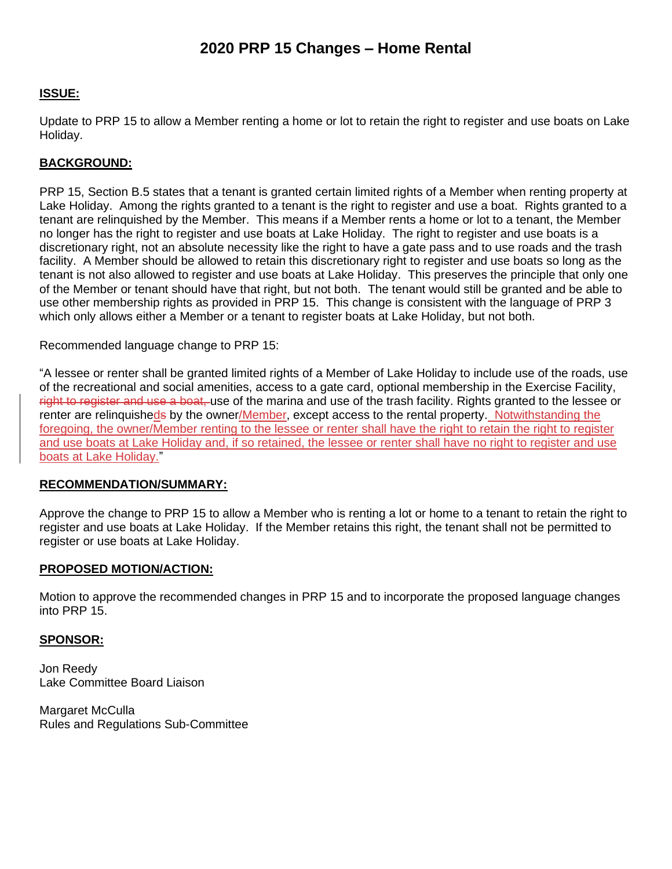## **2020 PRP 15 Changes – Home Rental**

### **ISSUE:**

Update to PRP 15 to allow a Member renting a home or lot to retain the right to register and use boats on Lake Holiday.

### **BACKGROUND:**

PRP 15, Section B.5 states that a tenant is granted certain limited rights of a Member when renting property at Lake Holiday. Among the rights granted to a tenant is the right to register and use a boat. Rights granted to a tenant are relinquished by the Member. This means if a Member rents a home or lot to a tenant, the Member no longer has the right to register and use boats at Lake Holiday. The right to register and use boats is a discretionary right, not an absolute necessity like the right to have a gate pass and to use roads and the trash facility. A Member should be allowed to retain this discretionary right to register and use boats so long as the tenant is not also allowed to register and use boats at Lake Holiday. This preserves the principle that only one of the Member or tenant should have that right, but not both. The tenant would still be granted and be able to use other membership rights as provided in PRP 15. This change is consistent with the language of PRP 3 which only allows either a Member or a tenant to register boats at Lake Holiday, but not both.

Recommended language change to PRP 15:

"A lessee or renter shall be granted limited rights of a Member of Lake Holiday to include use of the roads, use of the recreational and social amenities, access to a gate card, optional membership in the Exercise Facility, right to register and use a boat, use of the marina and use of the trash facility. Rights granted to the lessee or renter are relinquisheds by the owner/Member, except access to the rental property. Notwithstanding the foregoing, the owner/Member renting to the lessee or renter shall have the right to retain the right to register and use boats at Lake Holiday and, if so retained, the lessee or renter shall have no right to register and use boats at Lake Holiday."

### **RECOMMENDATION/SUMMARY:**

Approve the change to PRP 15 to allow a Member who is renting a lot or home to a tenant to retain the right to register and use boats at Lake Holiday. If the Member retains this right, the tenant shall not be permitted to register or use boats at Lake Holiday.

#### **PROPOSED MOTION/ACTION:**

Motion to approve the recommended changes in PRP 15 and to incorporate the proposed language changes into PRP 15.

### **SPONSOR:**

Jon Reedy Lake Committee Board Liaison

Margaret McCulla Rules and Regulations Sub-Committee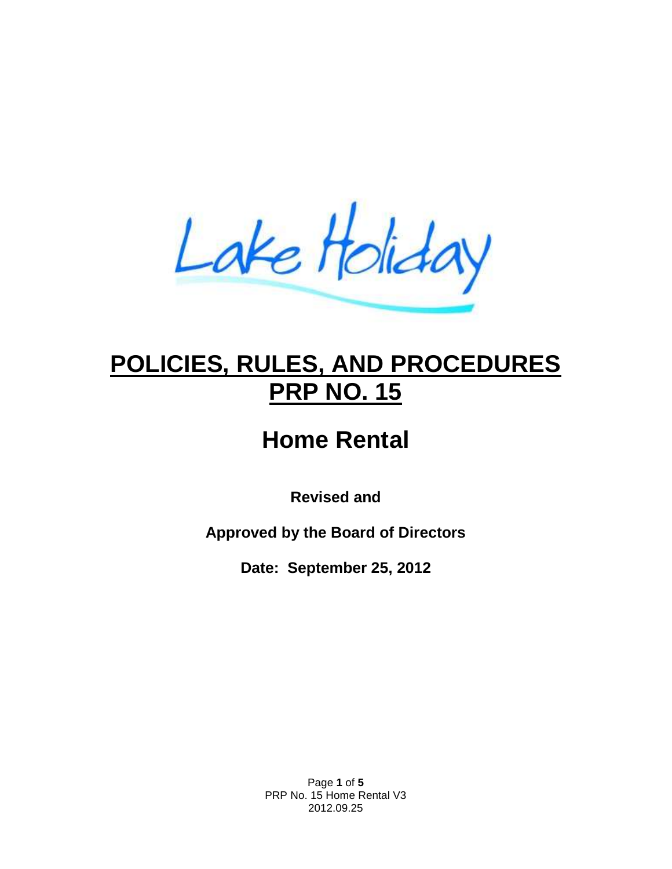Lake Holiday

# **POLICIES, RULES, AND PROCEDURES PRP NO. 15**

# **Home Rental**

**Revised and**

**Approved by the Board of Directors**

**Date: September 25, 2012**

Page **1** of **5** PRP No. 15 Home Rental V3 2012.09.25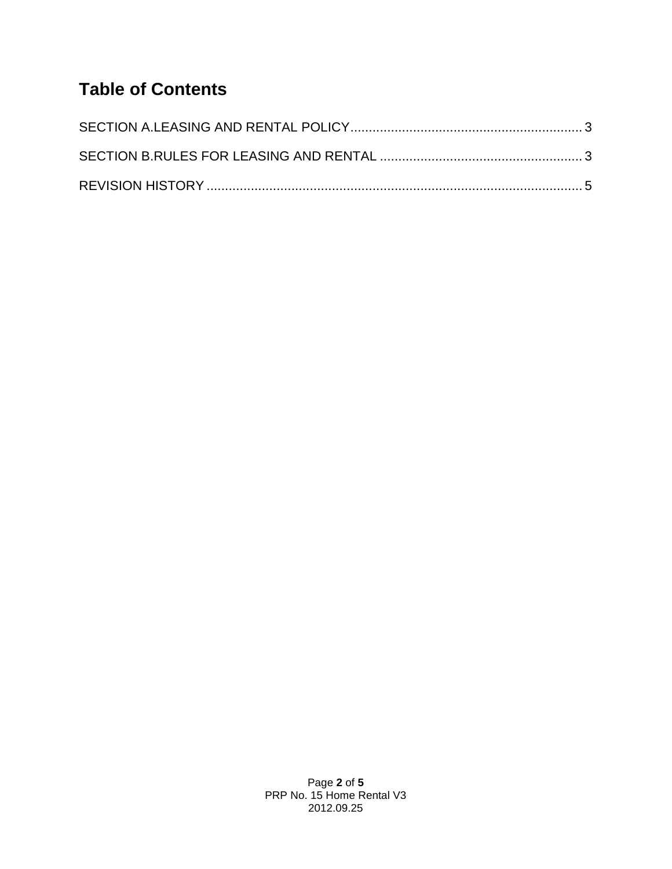## **Table of Contents**

Page **2** of **5** PRP No. 15 Home Rental V3 2012.09.25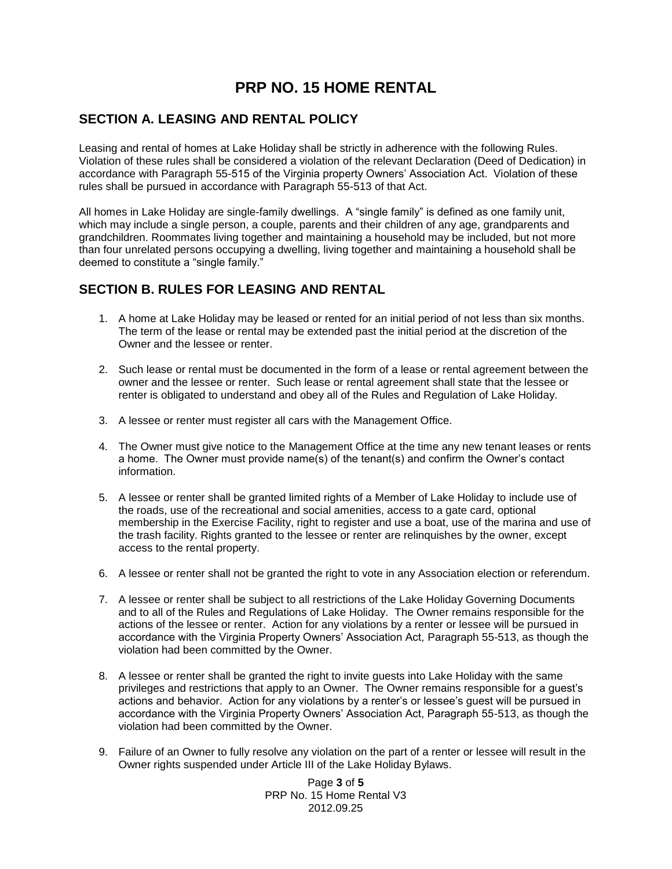## **PRP NO. 15 HOME RENTAL**

### <span id="page-3-0"></span>**SECTION A. LEASING AND RENTAL POLICY**

Leasing and rental of homes at Lake Holiday shall be strictly in adherence with the following Rules. Violation of these rules shall be considered a violation of the relevant Declaration (Deed of Dedication) in accordance with Paragraph 55-515 of the Virginia property Owners' Association Act. Violation of these rules shall be pursued in accordance with Paragraph 55-513 of that Act.

All homes in Lake Holiday are single-family dwellings. A "single family" is defined as one family unit, which may include a single person, a couple, parents and their children of any age, grandparents and grandchildren. Roommates living together and maintaining a household may be included, but not more than four unrelated persons occupying a dwelling, living together and maintaining a household shall be deemed to constitute a "single family."

### <span id="page-3-1"></span>**SECTION B. RULES FOR LEASING AND RENTAL**

- 1. A home at Lake Holiday may be leased or rented for an initial period of not less than six months. The term of the lease or rental may be extended past the initial period at the discretion of the Owner and the lessee or renter.
- 2. Such lease or rental must be documented in the form of a lease or rental agreement between the owner and the lessee or renter. Such lease or rental agreement shall state that the lessee or renter is obligated to understand and obey all of the Rules and Regulation of Lake Holiday.
- 3. A lessee or renter must register all cars with the Management Office.
- 4. The Owner must give notice to the Management Office at the time any new tenant leases or rents a home. The Owner must provide name(s) of the tenant(s) and confirm the Owner's contact information.
- 5. A lessee or renter shall be granted limited rights of a Member of Lake Holiday to include use of the roads, use of the recreational and social amenities, access to a gate card, optional membership in the Exercise Facility, right to register and use a boat, use of the marina and use of the trash facility. Rights granted to the lessee or renter are relinquishes by the owner, except access to the rental property.
- 6. A lessee or renter shall not be granted the right to vote in any Association election or referendum.
- 7. A lessee or renter shall be subject to all restrictions of the Lake Holiday Governing Documents and to all of the Rules and Regulations of Lake Holiday. The Owner remains responsible for the actions of the lessee or renter. Action for any violations by a renter or lessee will be pursued in accordance with the Virginia Property Owners' Association Act, Paragraph 55-513, as though the violation had been committed by the Owner.
- 8. A lessee or renter shall be granted the right to invite guests into Lake Holiday with the same privileges and restrictions that apply to an Owner. The Owner remains responsible for a guest's actions and behavior. Action for any violations by a renter's or lessee's guest will be pursued in accordance with the Virginia Property Owners' Association Act, Paragraph 55-513, as though the violation had been committed by the Owner.
- 9. Failure of an Owner to fully resolve any violation on the part of a renter or lessee will result in the Owner rights suspended under Article III of the Lake Holiday Bylaws.

Page **3** of **5** PRP No. 15 Home Rental V3 2012.09.25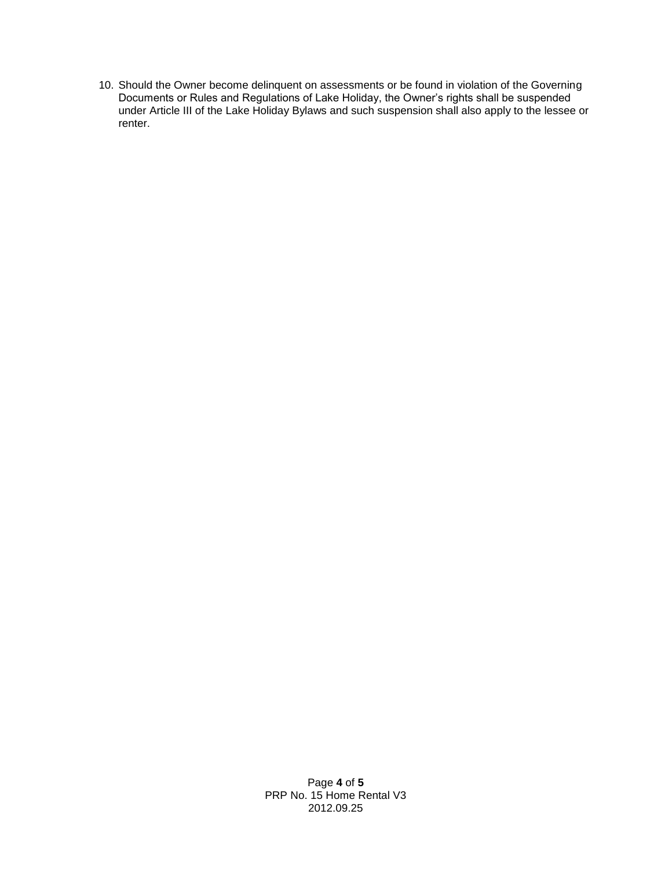<span id="page-4-0"></span>10. Should the Owner become delinquent on assessments or be found in violation of the Governing Documents or Rules and Regulations of Lake Holiday, the Owner's rights shall be suspended under Article III of the Lake Holiday Bylaws and such suspension shall also apply to the lessee or renter.

> Page **4** of **5** PRP No. 15 Home Rental V3 2012.09.25